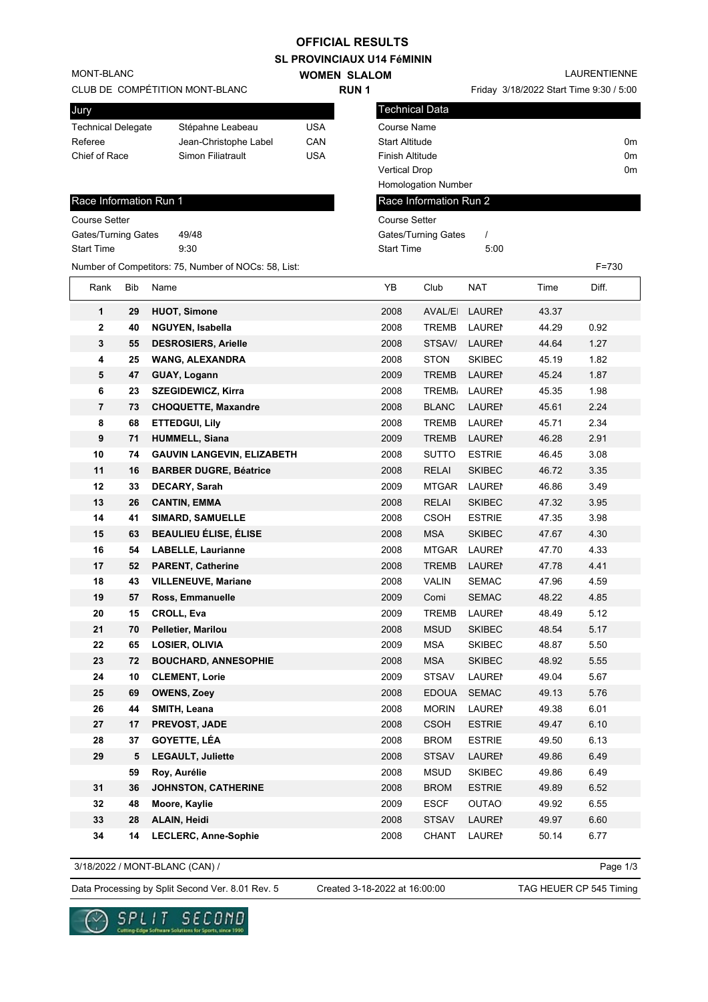## **OFFICIAL RESULTS**

**SL PROVINCIAUX U14 FéMININ**

| <b>SL PROVINCIAUA UT4 FEMININ</b>            |     |                                                      |                     |                                         |                       |               |              |           |  |  |
|----------------------------------------------|-----|------------------------------------------------------|---------------------|-----------------------------------------|-----------------------|---------------|--------------|-----------|--|--|
| MONT-BLANC<br>CLUB DE COMPÉTITION MONT-BLANC |     |                                                      | <b>WOMEN SLALOM</b> | Friday 3/18/2022 Start Time 9:30 / 5:00 |                       |               | LAURENTIENNE |           |  |  |
|                                              |     |                                                      | <b>RUN1</b>         |                                         |                       |               |              |           |  |  |
| Jury                                         |     |                                                      |                     |                                         | <b>Technical Data</b> |               |              |           |  |  |
| <b>Technical Delegate</b>                    |     | Stépahne Leabeau                                     | USA                 | Course Name                             |                       |               |              |           |  |  |
| Referee                                      |     | Jean-Christophe Label                                | CAN                 | <b>Start Altitude</b>                   |                       |               |              | 0m        |  |  |
| Chief of Race                                |     | Simon Filiatrault                                    | <b>USA</b>          | <b>Finish Altitude</b><br>0m            |                       |               |              |           |  |  |
|                                              |     |                                                      |                     | <b>Vertical Drop</b>                    |                       |               |              | 0m        |  |  |
|                                              |     |                                                      |                     |                                         | Homologation Number   |               |              |           |  |  |
| Race Information Run 1                       |     |                                                      |                     | Race Information Run 2                  |                       |               |              |           |  |  |
| <b>Course Setter</b>                         |     |                                                      |                     | <b>Course Setter</b>                    |                       |               |              |           |  |  |
| Gates/Turning Gates                          |     | 49/48                                                |                     | <b>Gates/Turning Gates</b><br>$\prime$  |                       |               |              |           |  |  |
| <b>Start Time</b>                            |     | 9:30                                                 |                     | <b>Start Time</b>                       |                       | 5:00          |              |           |  |  |
|                                              |     | Number of Competitors: 75, Number of NOCs: 58, List: |                     |                                         |                       |               |              | $F = 730$ |  |  |
| Rank                                         | Bib | Name                                                 |                     | ΥB                                      | Club                  | <b>NAT</b>    | Time         | Diff.     |  |  |
| 1                                            | 29  | <b>HUOT, Simone</b>                                  |                     | 2008                                    | <b>AVAL/EI</b>        | <b>LAUREI</b> | 43.37        |           |  |  |
| $\mathbf 2$                                  | 40  | <b>NGUYEN, Isabella</b>                              |                     | 2008                                    | <b>TREMB</b>          | <b>LAUREI</b> | 44.29        | 0.92      |  |  |
| 3                                            | 55  | <b>DESROSIERS, Arielle</b>                           |                     | 2008                                    | STSAV/                | <b>LAUREI</b> | 44.64        | 1.27      |  |  |
| 4                                            | 25  | <b>WANG, ALEXANDRA</b>                               |                     | 2008                                    | <b>STON</b>           | <b>SKIBEC</b> | 45.19        | 1.82      |  |  |
| 5                                            | 47  | GUAY, Logann                                         |                     | 2009                                    | <b>TREMB</b>          | <b>LAUREI</b> | 45.24        | 1.87      |  |  |
| 6                                            | 23  | <b>SZEGIDEWICZ, Kirra</b>                            |                     | 2008                                    | TREMB <sub>/</sub>    | <b>LAUREI</b> | 45.35        | 1.98      |  |  |
| $\overline{7}$                               | 73  | <b>CHOQUETTE, Maxandre</b>                           |                     | 2008                                    | <b>BLANC</b>          | <b>LAUREI</b> | 45.61        | 2.24      |  |  |
| 8                                            | 68  | <b>ETTEDGUI, Lily</b>                                |                     | 2008                                    | <b>TREMB</b>          | <b>LAUREI</b> | 45.71        | 2.34      |  |  |
| 9                                            | 71  | <b>HUMMELL, Siana</b>                                |                     | 2009                                    | <b>TREMB</b>          | <b>LAUREI</b> | 46.28        | 2.91      |  |  |
| 10                                           | 74  | <b>GAUVIN LANGEVIN, ELIZABETH</b>                    |                     | 2008                                    | <b>SUTTO</b>          | <b>ESTRIE</b> | 46.45        | 3.08      |  |  |
| 11                                           | 16  | <b>BARBER DUGRE, Béatrice</b>                        |                     | 2008                                    | <b>RELAI</b>          | <b>SKIBEC</b> | 46.72        | 3.35      |  |  |
| 12                                           | 33  | <b>DECARY, Sarah</b>                                 |                     | 2009                                    | <b>MTGAR</b>          | <b>LAUREI</b> | 46.86        | 3.49      |  |  |
| 13                                           | 26  | <b>CANTIN, EMMA</b>                                  |                     | 2008                                    | <b>RELAI</b>          | <b>SKIBEC</b> | 47.32        | 3.95      |  |  |
| 14                                           | 41  | <b>SIMARD, SAMUELLE</b>                              |                     | 2008                                    | <b>CSOH</b>           | <b>ESTRIE</b> | 47.35        | 3.98      |  |  |
| 15                                           | 63  | <b>BEAULIEU ÉLISE, ÉLISE</b>                         |                     | 2008                                    | <b>MSA</b>            | <b>SKIBEC</b> | 47.67        | 4.30      |  |  |
| 16                                           | 54  | <b>LABELLE, Laurianne</b>                            |                     | 2008                                    | <b>MTGAR</b>          | <b>LAUREI</b> | 47.70        | 4.33      |  |  |
| 17                                           | 52  | <b>PARENT, Catherine</b>                             |                     | 2008                                    | <b>TREMB</b>          | <b>LAUREI</b> | 47.78        | 4.41      |  |  |
| 18                                           | 43  | <b>VILLENEUVE, Mariane</b>                           |                     | 2008                                    | <b>VALIN</b>          | <b>SEMAC</b>  | 47.96        | 4.59      |  |  |
| 19                                           | 57  | Ross, Emmanuelle                                     |                     | 2009                                    | Comi                  | <b>SEMAC</b>  | 48.22        | 4.85      |  |  |
| 20                                           | 15  | CROLL, Eva                                           |                     | 2009                                    | <b>TREMB</b>          | <b>LAUREI</b> | 48.49        | 5.12      |  |  |
| 21                                           | 70  | Pelletier, Marilou                                   |                     | 2008                                    | <b>MSUD</b>           | <b>SKIBEC</b> | 48.54        | 5.17      |  |  |
| 22                                           | 65  | <b>LOSIER, OLIVIA</b>                                |                     | 2009                                    | <b>MSA</b>            | <b>SKIBEC</b> | 48.87        | 5.50      |  |  |
| 23                                           | 72  | <b>BOUCHARD, ANNESOPHIE</b>                          |                     | 2008                                    | <b>MSA</b>            | <b>SKIBEC</b> | 48.92        | 5.55      |  |  |
| 24                                           | 10  | <b>CLEMENT, Lorie</b>                                |                     | 2009                                    | <b>STSAV</b>          | <b>LAUREN</b> | 49.04        | 5.67      |  |  |
| 25                                           | 69  | <b>OWENS, Zoey</b>                                   |                     | 2008                                    | <b>EDOUA</b>          | <b>SEMAC</b>  | 49.13        | 5.76      |  |  |
| 26                                           | 44  | SMITH, Leana                                         |                     | 2008                                    | <b>MORIN</b>          | <b>LAURE!</b> | 49.38        | 6.01      |  |  |
| 27                                           | 17  | PREVOST, JADE                                        |                     | 2008                                    | <b>CSOH</b>           | <b>ESTRIE</b> | 49.47        | 6.10      |  |  |
| 28                                           | 37  | <b>GOYETTE, LÉA</b>                                  |                     | 2008                                    | <b>BROM</b>           | <b>ESTRIE</b> | 49.50        | 6.13      |  |  |
| 29                                           | 5   | <b>LEGAULT, Juliette</b>                             |                     | 2008                                    | <b>STSAV</b>          | <b>LAUREN</b> | 49.86        | 6.49      |  |  |
|                                              | 59  | Roy, Aurélie                                         |                     | 2008                                    | <b>MSUD</b>           | <b>SKIBEC</b> | 49.86        | 6.49      |  |  |
| 31                                           | 36  | JOHNSTON, CATHERINE                                  |                     | 2008                                    | <b>BROM</b>           | <b>ESTRIE</b> | 49.89        | 6.52      |  |  |
| 32                                           | 48  | Moore, Kaylie                                        |                     | 2009                                    | <b>ESCF</b>           | <b>OUTAO</b>  | 49.92        | 6.55      |  |  |
| 33                                           | 28  | ALAIN, Heidi                                         |                     | 2008                                    | <b>STSAV</b>          | <b>LAUREI</b> | 49.97        | 6.60      |  |  |
| 34                                           | 14  | LECLERC, Anne-Sophie                                 |                     | 2008                                    | <b>CHANT</b>          | <b>LAUREN</b> | 50.14        | 6.77      |  |  |

3/18/2022 / MONT-BLANC (CAN) /

Page 1/3

Data Processing by Split Second Ver. 8.01 Rev. 5 Created 3-18-2022 at 16:00:00 TAG HEUER CP 545 Timing

Created 3-18-2022 at 16:00:00

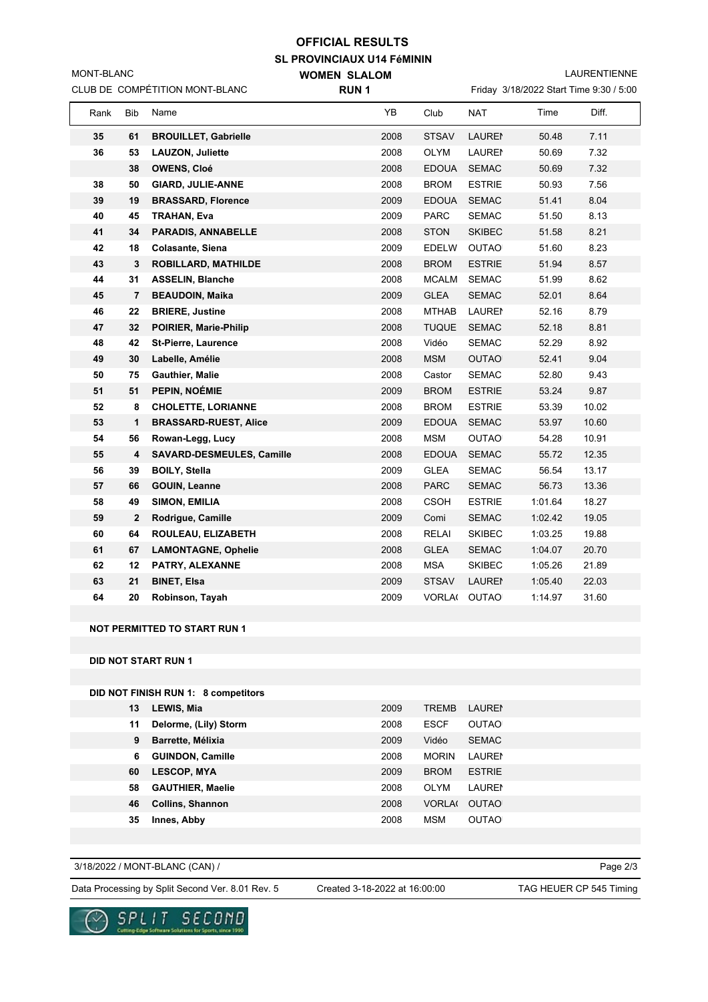## **SL PROVINCIAUX U14 FéMININ OFFICIAL RESULTS**

**WOMEN SLALOM** 

LAURENTIENNE

| CLUB DE COMPÉTITION MONT-BLANC |              |                                     | <b>RUN1</b> |      |              |               | Friday 3/18/2022 Start Time 9:30 / 5:00 |       |  |
|--------------------------------|--------------|-------------------------------------|-------------|------|--------------|---------------|-----------------------------------------|-------|--|
| Rank                           | Bib          | Name                                |             | YB   | Club         | <b>NAT</b>    | Time                                    | Diff. |  |
| 35                             | 61           | <b>BROUILLET, Gabrielle</b>         |             | 2008 | <b>STSAV</b> | <b>LAUREI</b> | 50.48                                   | 7.11  |  |
| 36                             | 53           | <b>LAUZON, Juliette</b>             |             | 2008 | <b>OLYM</b>  | <b>LAUREN</b> | 50.69                                   | 7.32  |  |
|                                | 38           | <b>OWENS, Cloé</b>                  |             | 2008 | <b>EDOUA</b> | <b>SEMAC</b>  | 50.69                                   | 7.32  |  |
| 38                             | 50           | <b>GIARD, JULIE-ANNE</b>            |             | 2008 | <b>BROM</b>  | <b>ESTRIE</b> | 50.93                                   | 7.56  |  |
| 39                             | 19           | <b>BRASSARD, Florence</b>           |             | 2009 | <b>EDOUA</b> | <b>SEMAC</b>  | 51.41                                   | 8.04  |  |
| 40                             | 45           | <b>TRAHAN, Eva</b>                  |             | 2009 | <b>PARC</b>  | <b>SEMAC</b>  | 51.50                                   | 8.13  |  |
| 41                             | 34           | <b>PARADIS, ANNABELLE</b>           |             | 2008 | <b>STON</b>  | <b>SKIBEC</b> | 51.58                                   | 8.21  |  |
| 42                             | 18           | <b>Colasante, Siena</b>             |             | 2009 | <b>EDELW</b> | <b>OUTAO</b>  | 51.60                                   | 8.23  |  |
| 43                             | 3            | <b>ROBILLARD, MATHILDE</b>          |             | 2008 | <b>BROM</b>  | <b>ESTRIE</b> | 51.94                                   | 8.57  |  |
| 44                             | 31           | <b>ASSELIN, Blanche</b>             |             | 2008 | <b>MCALM</b> | <b>SEMAC</b>  | 51.99                                   | 8.62  |  |
| 45                             | 7            | <b>BEAUDOIN, Maika</b>              |             | 2009 | <b>GLEA</b>  | <b>SEMAC</b>  | 52.01                                   | 8.64  |  |
| 46                             | 22           | <b>BRIERE, Justine</b>              |             | 2008 | <b>MTHAB</b> | <b>LAUREI</b> | 52.16                                   | 8.79  |  |
| 47                             | 32           | POIRIER, Marie-Philip               |             | 2008 | <b>TUQUE</b> | <b>SEMAC</b>  | 52.18                                   | 8.81  |  |
| 48                             | 42           | <b>St-Pierre, Laurence</b>          |             | 2008 | Vidéo        | <b>SEMAC</b>  | 52.29                                   | 8.92  |  |
| 49                             | 30           | Labelle, Amélie                     |             | 2008 | <b>MSM</b>   | <b>OUTAO</b>  | 52.41                                   | 9.04  |  |
| 50                             | 75           | Gauthier, Malie                     |             | 2008 | Castor       | <b>SEMAC</b>  | 52.80                                   | 9.43  |  |
| 51                             | 51           | PEPIN, NOÉMIE                       |             | 2009 | <b>BROM</b>  | <b>ESTRIE</b> | 53.24                                   | 9.87  |  |
| 52                             | 8            | <b>CHOLETTE, LORIANNE</b>           |             | 2008 | <b>BROM</b>  | <b>ESTRIE</b> | 53.39                                   | 10.02 |  |
| 53                             | 1            | <b>BRASSARD-RUEST, Alice</b>        |             | 2009 | <b>EDOUA</b> | <b>SEMAC</b>  | 53.97                                   | 10.60 |  |
| 54                             | 56           | Rowan-Legg, Lucy                    |             | 2008 | <b>MSM</b>   | <b>OUTAO</b>  | 54.28                                   | 10.91 |  |
| 55                             | 4            | SAVARD-DESMEULES, Camille           |             | 2008 | <b>EDOUA</b> | <b>SEMAC</b>  | 55.72                                   | 12.35 |  |
| 56                             | 39           | <b>BOILY, Stella</b>                |             | 2009 | <b>GLEA</b>  | <b>SEMAC</b>  | 56.54                                   | 13.17 |  |
| 57                             | 66           | <b>GOUIN, Leanne</b>                |             | 2008 | <b>PARC</b>  | <b>SEMAC</b>  | 56.73                                   | 13.36 |  |
| 58                             | 49           | <b>SIMON, EMILIA</b>                |             | 2008 | CSOH         | <b>ESTRIE</b> | 1:01.64                                 | 18.27 |  |
| 59                             | $\mathbf{2}$ | Rodrigue, Camille                   |             | 2009 | Comi         | <b>SEMAC</b>  | 1:02.42                                 | 19.05 |  |
| 60                             | 64           | ROULEAU, ELIZABETH                  |             | 2008 | <b>RELAI</b> | <b>SKIBEC</b> | 1:03.25                                 | 19.88 |  |
| 61                             | 67           | <b>LAMONTAGNE, Ophelie</b>          |             | 2008 | <b>GLEA</b>  | <b>SEMAC</b>  | 1:04.07                                 | 20.70 |  |
| 62                             | 12           | PATRY, ALEXANNE                     |             | 2008 | <b>MSA</b>   | <b>SKIBEC</b> | 1:05.26                                 | 21.89 |  |
| 63                             | 21           | <b>BINET, Elsa</b>                  |             | 2009 | <b>STSAV</b> | <b>LAUREI</b> | 1:05.40                                 | 22.03 |  |
| 64                             | 20           | Robinson, Tayah                     |             | 2009 |              | VORLA( OUTAO  | 1:14.97                                 | 31.60 |  |
|                                |              |                                     |             |      |              |               |                                         |       |  |
|                                |              | <b>NOT PERMITTED TO START RUN 1</b> |             |      |              |               |                                         |       |  |
|                                |              |                                     |             |      |              |               |                                         |       |  |

**DID NOT START RUN 1**

MONT-BLANC

**DID NOT FINISH RUN 1: 8 competitors**

| 13 | LEWIS, Mia              | 2009 | <b>TREMB</b>  | <b>LAURE</b>  |
|----|-------------------------|------|---------------|---------------|
| 11 | Delorme, (Lily) Storm   | 2008 | <b>ESCF</b>   | <b>OUTAO</b>  |
| 9  | Barrette, Mélixia       | 2009 | Vidéo         | <b>SEMAC</b>  |
| 6  | <b>GUINDON, Camille</b> | 2008 | <b>MORIN</b>  | <b>LAUREN</b> |
| 60 | <b>LESCOP, MYA</b>      | 2009 | <b>BROM</b>   | <b>ESTRIE</b> |
| 58 | <b>GAUTHIER, Maelie</b> | 2008 | OLYM          | <b>LAURE</b>  |
| 46 | <b>Collins, Shannon</b> | 2008 | <b>VORLA(</b> | <b>OUTAO</b>  |
| 35 | Innes, Abby             | 2008 | <b>MSM</b>    | <b>OUTAO</b>  |
|    |                         |      |               |               |

3/18/2022 / MONT-BLANC (CAN) /

Page 2/3

Data Processing by Split Second Ver. 8.01 Rev. 5 Created 3-18-2022 at 16:00:00 TAG HEUER CP 545 Timing

Created 3-18-2022 at 16:00:00